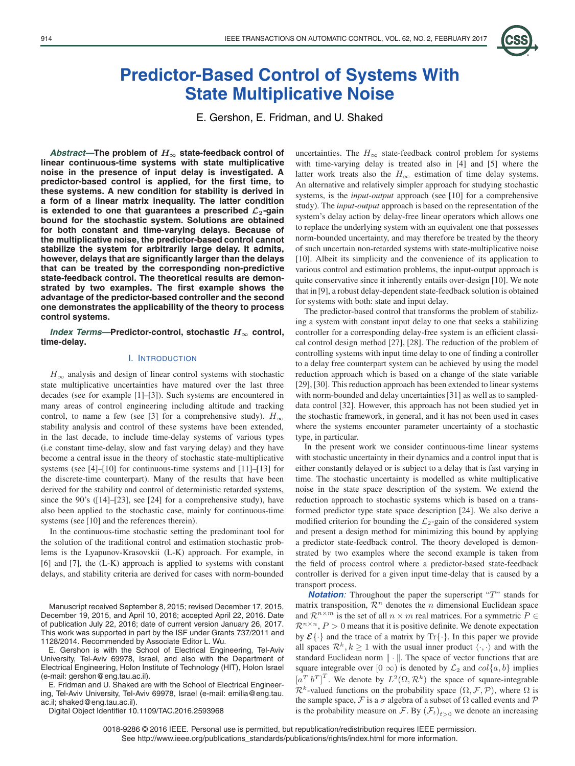

# **Predictor-Based Control of Systems With State Multiplicative Noise**

E. Gershon, E. Fridman, and U. Shaked

*Abstract—***The problem of** *H<sup>∞</sup>* **state-feedback control of linear continuous-time systems with state multiplicative noise in the presence of input delay is investigated. A predictor-based control is applied, for the first time, to these systems. A new condition for stability is derived in a form of a linear matrix inequality. The latter condition is extended to one that guarantees a prescribed** *L***2-gain bound for the stochastic system. Solutions are obtained for both constant and time-varying delays. Because of the multiplicative noise, the predictor-based control cannot stabilize the system for arbitrarily large delay. It admits, however, delays that are significantly larger than the delays that can be treated by the corresponding non-predictive state-feedback control. The theoretical results are demonstrated by two examples. The first example shows the advantage of the predictor-based controller and the second one demonstrates the applicability of the theory to process control systems.**

*Index Terms—***Predictor-control, stochastic** *H<sup>∞</sup>* **control, time-delay.**

# I. INTRODUCTION

 $H_{\infty}$  analysis and design of linear control systems with stochastic state multiplicative uncertainties have matured over the last three decades (see for example [1]–[3]). Such systems are encountered in many areas of control engineering including altitude and tracking control, to name a few (see [3] for a comprehensive study).  $H_{\infty}$ stability analysis and control of these systems have been extended, in the last decade, to include time-delay systems of various types (i.e constant time-delay, slow and fast varying delay) and they have become a central issue in the theory of stochastic state-multiplicative systems (see [4]–[10] for continuous-time systems and [11]–[13] for the discrete-time counterpart). Many of the results that have been derived for the stability and control of deterministic retarded systems, since the 90's ([14]–[23], see [24] for a comprehensive study), have also been applied to the stochastic case, mainly for continuous-time systems (see [10] and the references therein).

In the continuous-time stochastic setting the predominant tool for the solution of the traditional control and estimation stochastic problems is the Lyapunov-Krasovskii (L-K) approach. For example, in [6] and [7], the (L-K) approach is applied to systems with constant delays, and stability criteria are derived for cases with norm-bounded

Manuscript received September 8, 2015; revised December 17, 2015, December 19, 2015, and April 10, 2016; accepted April 22, 2016. Date of publication July 22, 2016; date of current version January 26, 2017. This work was supported in part by the ISF under Grants 737/2011 and 1128/2014. Recommended by Associate Editor L. Wu.

E. Gershon is with the School of Electrical Engineering, Tel-Aviv University, Tel-Aviv 69978, Israel, and also with the Department of Electrical Engineering, Holon Institute of Technology (HIT), Holon Israel (e-mail: gershon@eng.tau.ac.il).

E. Fridman and U. Shaked are with the School of Electrical Engineering, Tel-Aviv University, Tel-Aviv 69978, Israel (e-mail: emilia@eng.tau. ac.il; shaked@eng.tau.ac.il).

Digital Object Identifier 10.1109/TAC.2016.2593968

uncertainties. The  $H_{\infty}$  state-feedback control problem for systems with time-varying delay is treated also in [4] and [5] where the latter work treats also the  $H_{\infty}$  estimation of time delay systems. An alternative and relatively simpler approach for studying stochastic systems, is the *input-output* approach (see [10] for a comprehensive study). The *input-output* approach is based on the representation of the system's delay action by delay-free linear operators which allows one to replace the underlying system with an equivalent one that possesses norm-bounded uncertainty, and may therefore be treated by the theory of such uncertain non-retarded systems with state-multiplicative noise [10]. Albeit its simplicity and the convenience of its application to various control and estimation problems, the input-output approach is quite conservative since it inherently entails over-design [10]. We note that in [9], a robust delay-dependent state-feedback solution is obtained for systems with both: state and input delay.

The predictor-based control that transforms the problem of stabilizing a system with constant input delay to one that seeks a stabilizing controller for a corresponding delay-free system is an efficient classical control design method [27], [28]. The reduction of the problem of controlling systems with input time delay to one of finding a controller to a delay free counterpart system can be achieved by using the model reduction approach which is based on a change of the state variable [29], [30]. This reduction approach has been extended to linear systems with norm-bounded and delay uncertainties [31] as well as to sampleddata control [32]. However, this approach has not been studied yet in the stochastic framework, in general, and it has not been used in cases where the systems encounter parameter uncertainty of a stochastic type, in particular.

In the present work we consider continuous-time linear systems with stochastic uncertainty in their dynamics and a control input that is either constantly delayed or is subject to a delay that is fast varying in time. The stochastic uncertainty is modelled as white multiplicative noise in the state space description of the system. We extend the reduction approach to stochastic systems which is based on a transformed predictor type state space description [24]. We also derive a modified criterion for bounding the  $\mathcal{L}_2$ -gain of the considered system and present a design method for minimizing this bound by applying a predictor state-feedback control. The theory developed is demonstrated by two examples where the second example is taken from the field of process control where a predictor-based state-feedback controller is derived for a given input time-delay that is caused by a transport process.

**Notation:** Throughout the paper the superscript "T" stands for matrix transposition,  $\mathcal{R}^n$  denotes the *n* dimensional Euclidean space and  $\mathcal{R}^{n\times m}$  is the set of all  $n\times m$  real matrices. For a symmetric  $P\in$  $\mathcal{R}^{n \times n}$ ,  $P > 0$  means that it is positive definite. We denote expectation by  $\mathcal{E}\{\cdot\}$  and the trace of a matrix by  $\text{Tr}\{\cdot\}$ . In this paper we provide all spaces  $\mathcal{R}^k, k \geq 1$  with the usual inner product  $\langle \cdot, \cdot \rangle$  and with the standard Euclidean norm  $\|\cdot\|$ . The space of vector functions that are square integrable over  $[0 \infty)$  is denoted by  $\mathcal{L}_2$  and  $col\{a, b\}$  implies  $[a^T b^T]^T$ . We denote by  $L^2(\Omega, \mathcal{R}^k)$  the space of square-integrable  $\mathcal{R}^k$ -valued functions on the probability space  $(\Omega, \mathcal{F}, \mathcal{P})$ , where  $\Omega$  is the sample space,  $\mathcal F$  is a  $\sigma$  algebra of a subset of  $\Omega$  called events and  $\mathcal P$ is the probability measure on F. By  $(\mathcal{F}_t)_{t>0}$  we denote an increasing

0018-9286 © 2016 IEEE. Personal use is permitted, but republication/redistribution requires IEEE permission. See http://www.ieee.org/publications\_standards/publications/rights/index.html for more information.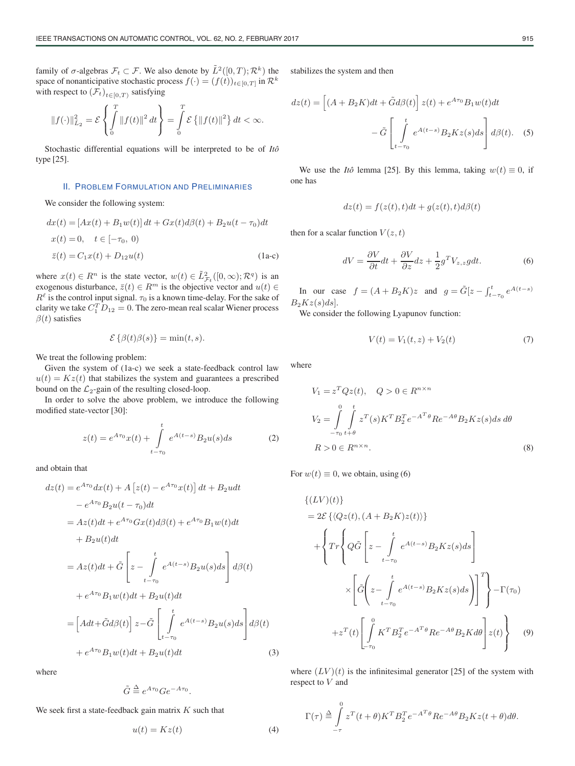family of  $\sigma$ -algebras  $\mathcal{F}_t \subset \mathcal{F}$ . We also denote by  $\tilde{L}^2([0,T);\mathcal{R}^k)$  the space of nonanticipative stochastic process  $f(\cdot)=(f(t))_{t\in[0,T]}$  in  $\mathcal{R}^k$ with respect to  $(\mathcal{F}_t)_{t\in[0,T)}$  satisfying

$$
||f(\cdot)||_{L_2}^2 = \mathcal{E}\left\{\int_0^T ||f(t)||^2 dt\right\} = \int_0^T \mathcal{E}\left\{||f(t)||^2\right\} dt < \infty.
$$

Stochastic differential equations will be interpreted to be of *Itô* type [25].

#### II. PROBLEM FORMULATION AND PRELIMINARIES

We consider the following system:

$$
dx(t) = [Ax(t) + B_1w(t)] dt + Gx(t)d\beta(t) + B_2u(t - \tau_0)dt
$$
  
\n
$$
x(t) = 0, \quad t \in [-\tau_0, 0)
$$
  
\n
$$
\bar{z}(t) = C_1x(t) + D_{12}u(t)
$$
\n(1a-c)

where  $x(t) \in R^n$  is the state vector,  $w(t) \in \tilde{L}^2_{\mathcal{F}_t}([0,\infty); \mathcal{R}^q)$  is an exogenous disturbance,  $\bar{z}(t) \in R^m$  is the objective vector and  $u(t) \in$  $R^{\ell}$  is the control input signal.  $\tau_0$  is a known time-delay. For the sake of clarity we take  $C_1^T D_{12} = 0$ . The zero-mean real scalar Wiener process  $\beta(t)$  satisfies

$$
\mathcal{E}\left\{\beta(t)\beta(s)\right\} = \min(t, s).
$$

We treat the following problem:

Given the system of (1a-c) we seek a state-feedback control law  $u(t) = Kz(t)$  that stabilizes the system and guarantees a prescribed bound on the  $\mathcal{L}_2$ -gain of the resulting closed-loop.

In order to solve the above problem, we introduce the following modified state-vector [30]:

$$
z(t) = e^{A\tau_0}x(t) + \int_{t-\tau_0}^{t} e^{A(t-s)}B_2u(s)ds
$$
 (2)

and obtain that

$$
dz(t) = e^{A\tau_0} dx(t) + A \left[ z(t) - e^{A\tau_0} x(t) \right] dt + B_2 u dt
$$
  
\n
$$
- e^{A\tau_0} B_2 u(t - \tau_0) dt
$$
  
\n
$$
= Az(t) dt + e^{A\tau_0} Gx(t) d\beta(t) + e^{A\tau_0} B_1 w(t) dt
$$
  
\n
$$
+ B_2 u(t) dt
$$
  
\n
$$
= Az(t) dt + \tilde{G} \left[ z - \int_{t-\tau_0}^t e^{A(t-s)} B_2 u(s) ds \right] d\beta(t)
$$
  
\n
$$
+ e^{A\tau_0} B_1 w(t) dt + B_2 u(t) dt
$$
  
\n
$$
= \left[ A dt + \tilde{G} d\beta(t) \right] z - \tilde{G} \left[ \int_{t-\tau_0}^t e^{A(t-s)} B_2 u(s) ds \right] d\beta(t)
$$
  
\n
$$
+ e^{A\tau_0} B_1 w(t) dt + B_2 u(t) dt
$$
 (3)

where

$$
\tilde{G} \stackrel{\Delta}{=} e^{A\tau_0} Ge^{-A\tau_0}.
$$

We seek first a state-feedback gain matrix  $K$  such that

$$
u(t) = Kz(t) \tag{4}
$$

stabilizes the system and then

$$
dz(t) = \left[ (A + B_2 K)dt + \tilde{G}d\beta(t) \right] z(t) + e^{A\tau_0} B_1 w(t) dt
$$

$$
- \tilde{G} \left[ \int_{t-\tau_0}^t e^{A(t-s)} B_2 K z(s) ds \right] d\beta(t). \quad (5)
$$

We use the *Itô* lemma [25]. By this lemma, taking  $w(t) \equiv 0$ , if one has

$$
dz(t) = f(z(t), t)dt + g(z(t), t)d\beta(t)
$$

then for a scalar function  $V(z,t)$ 

$$
dV = \frac{\partial V}{\partial t}dt + \frac{\partial V}{\partial z}dz + \frac{1}{2}g^T V_{z,z}gdt.
$$
 (6)

In our case  $f = (A + B_2 K)z$  and  $g = \tilde{G}[z - \int_{t-\tau_0}^{t} e^{A(t-s)}]$  $B_2Kz(s)ds$ .

We consider the following Lyapunov function:

$$
V(t) = V_1(t, z) + V_2(t)
$$
\n(7)

where

$$
V_1 = z^T Q z(t), \quad Q > 0 \in R^{n \times n}
$$
  
\n
$$
V_2 = \int_{-\tau_0}^0 \int_{t+\theta}^t z^T(s) K^T B_2^T e^{-A^T \theta} R e^{-A\theta} B_2 K z(s) ds d\theta
$$
  
\n
$$
R > 0 \in R^{n \times n}.
$$
  
\n(8)

For  $w(t) \equiv 0$ , we obtain, using (6)

$$
\{(LV)(t)\}\
$$
  
=  $2\mathcal{E}\{\langle Qz(t), (A+B_2K)z(t)\rangle\}$   
+  $\left\{Tr\left\{Q\tilde{G}\left[z - \int_{t-\tau_0}^t e^{A(t-s)}B_2Kz(s)ds\right]\right.\right.$   
 $\times \left[\tilde{G}\left(z - \int_{t-\tau_0}^t e^{A(t-s)}B_2Kz(s)ds\right)\right]^T\right\} - \Gamma(\tau_0)$   
+  $z^T(t)\left[\int_{-\tau_0}^0 K^T B_2^T e^{-A^T\theta} Re^{-A\theta} B_2K d\theta\right]z(t)\right\}$  (9)

where  $(LV)(t)$  is the infinitesimal generator [25] of the system with respect to V and

$$
\Gamma(\tau) \stackrel{\Delta}{=} \int_{-\tau}^{0} z^T(t+\theta) K^T B_2^T e^{-A^T \theta} R e^{-A\theta} B_2 K z(t+\theta) d\theta.
$$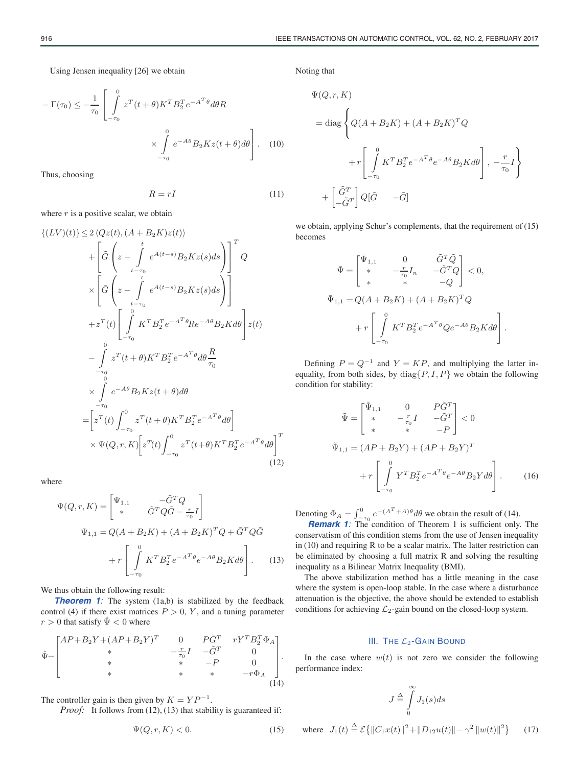Using Jensen inequality [26] we obtain

$$
-\Gamma(\tau_0) \le -\frac{1}{\tau_0} \left[ \int_{-\tau_0}^0 z^T(t+\theta) K^T B_2^T e^{-A^T \theta} d\theta R \right] \times \int_{-\tau_0}^0 e^{-A\theta} B_2 K z(t+\theta) d\theta \right].
$$
 (10)

Thus, choosing

$$
R = rI \tag{11}
$$

where  $r$  is a positive scalar, we obtain

$$
\{(LV)(t)\}\leq 2\langle Qz(t), (A+B_{2}K)z(t)\rangle
$$
  
+
$$
\left[\tilde{G}\left(z-\int_{t-\tau_{0}}^{t}e^{A(t-s)}B_{2}Kz(s)ds\right)\right]^{T}Q
$$
  

$$
\times\left[\tilde{G}\left(z-\int_{t-\tau_{0}}^{t}e^{A(t-s)}B_{2}Kz(s)ds\right)\right]
$$
  
+
$$
z^{T}(t)\left[\int_{-\tau_{0}}^{0}K^{T}B_{2}^{T}e^{-A^{T}\theta}Re^{-A\theta}B_{2}Kd\theta\right]z(t)
$$
  
-
$$
\int_{-\tau_{0}}^{0}z^{T}(t+\theta)K^{T}B_{2}^{T}e^{-A^{T}\theta}d\theta\frac{R}{\tau_{0}}
$$
  

$$
\times\int_{-\tau_{0}}^{0}e^{-A\theta}B_{2}Kz(t+\theta)d\theta
$$
  
=
$$
\left[z^{T}(t)\int_{-\tau_{0}}^{0}z^{T}(t+\theta)K^{T}B_{2}^{T}e^{-A^{T}\theta}d\theta\right]
$$
  

$$
\times\Psi(Q,r,K)\left[z^{T}(t)\int_{-\tau_{0}}^{0}z^{T}(t+\theta)K^{T}B_{2}^{T}e^{-A^{T}\theta}d\theta\right]^{T}
$$
  
(12)

where

$$
\Psi(Q,r,K) = \begin{bmatrix} \Psi_{1,1} & -\tilde{G}^T Q \\ * & \tilde{G}^T Q \tilde{G} - \frac{r}{\tau_0} I \end{bmatrix}
$$

$$
\Psi_{1,1} = Q(A + B_2 K) + (A + B_2 K)^T Q + \tilde{G}^T Q \tilde{G}
$$

$$
+ r \left[ \int_{-\tau_0}^0 K^T B_2^T e^{-A^T \theta} e^{-A \theta} B_2 K d\theta \right].
$$
 (13)

We thus obtain the following result:

**Theorem 1**: The system (1a,b) is stabilized by the feedback control (4) if there exist matrices  $P > 0$ , Y, and a tuning parameter  $r > 0$  that satisfy  $\hat{\Psi} < 0$  where

$$
\hat{\Psi} = \begin{bmatrix} AP + B_2 Y + (AP + B_2 Y)^T & 0 & P\tilde{G}^T & rY^T B_2^T \Phi_A \\ * & -\frac{r}{\tau_0} I & -\tilde{G}^T & 0 \\ * & * & -P & 0 \\ * & * & * & -r\Phi_A \end{bmatrix} .
$$
\n(14)

The controller gain is then given by  $K = YP^{-1}$ .

*Proof:* It follows from (12), (13) that stability is guaranteed if:

$$
\Psi(Q, r, K) < 0. \tag{15}
$$

Noting that

$$
\Psi(Q, r, K)
$$
\n
$$
= \text{diag}\left\{Q(A + B_2K) + (A + B_2K)^TQ
$$
\n
$$
+ r\left[\int_{-\tau_0}^0 K^T B_2^T e^{-A^T\theta} e^{-A\theta} B_2 K d\theta\right], -\frac{r}{\tau_0}I\right\}
$$
\n
$$
+ \left[\frac{\tilde{G}^T}{-\tilde{G}^T}\right]Q[\tilde{G} \quad -\tilde{G}]
$$

we obtain, applying Schur's complements, that the requirement of (15) becomes

$$
\bar{\Psi} = \begin{bmatrix} \bar{\Psi}_{1,1} & 0 & \tilde{G}^T \tilde{Q} \\ * & -\frac{r}{\tau_0} I_n & -\tilde{G}^T Q \\ * & * & -Q \end{bmatrix} < 0,
$$
  

$$
\bar{\Psi}_{1,1} = Q(A + B_2 K) + (A + B_2 K)^T Q
$$

$$
+ r \begin{bmatrix} 0 \\ \int_{-\tau_0}^0 K^T B_2^T e^{-A^T \theta} Q e^{-A \theta} B_2 K d\theta \\ \end{bmatrix}.
$$

Defining  $P = Q^{-1}$  and  $Y = KP$ , and multiplying the latter inequality, from both sides, by  $diag\{P, I, P\}$  we obtain the following condition for stability:

$$
\tilde{\Psi} = \begin{bmatrix} \tilde{\Psi}_{1,1} & 0 & P\tilde{G}^T \\ * & -\frac{r}{\tau_0}I & -\tilde{G}^T \\ * & * & -P \end{bmatrix} < 0
$$
\n
$$
\tilde{\Psi}_{1,1} = (AP + B_2Y) + (AP + B_2Y)^T
$$
\n
$$
+ r \left[ \int_{-\tau_0}^0 Y^T B_2^T e^{-A^T \theta} e^{-A\theta} B_2 Y d\theta \right].
$$
\n(16)

Denoting  $\Phi_A = \int_{-\tau_0}^0 e^{-(A^T + A)\theta} d\theta$  we obtain the result of (14).<br>*Remark 1*: The condition of Theorem 1 is sufficient only. The

conservatism of this condition stems from the use of Jensen inequality in (10) and requiring R to be a scalar matrix. The latter restriction can be eliminated by choosing a full matrix R and solving the resulting inequality as a Bilinear Matrix Inequality (BMI).

The above stabilization method has a little meaning in the case where the system is open-loop stable. In the case where a disturbance attenuation is the objective, the above should be extended to establish conditions for achieving  $\mathcal{L}_2$ -gain bound on the closed-loop system.

## III. THE  $\mathcal{L}_2$ -GAIN BOUND

In the case where  $w(t)$  is not zero we consider the following performance index:

$$
J \stackrel{\Delta}{=} \int\limits_{0}^{\infty} J_1(s) ds
$$

where 
$$
J_1(t) \stackrel{\Delta}{=} \mathcal{E}\{||C_1x(t)||^2 + ||D_{12}u(t)|| - \gamma^2 ||w(t)||^2\}
$$
 (17)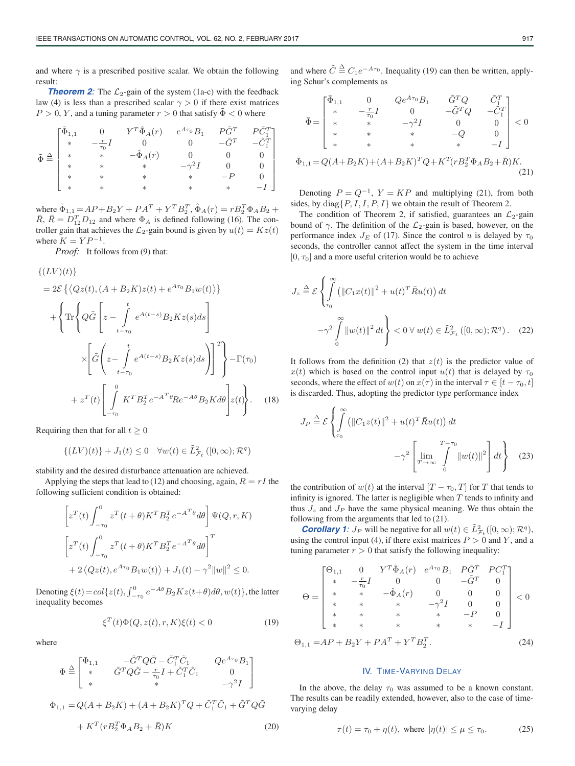and where  $\gamma$  is a prescribed positive scalar. We obtain the following result:

**Theorem 2**: The  $\mathcal{L}_2$ -gain of the system (1a-c) with the feedback law (4) is less than a prescribed scalar  $\gamma > 0$  if there exist matrices  $P > 0$ , Y, and a tuning parameter  $r > 0$  that satisfy  $\tilde{\Phi} < 0$  where

$$
\tilde{\Phi} \stackrel{\Delta}{=} \begin{bmatrix} \tilde{\Phi}_{1,1} & 0 & Y^T \hat{\Phi}_A(r) & e^{A\tau_0} B_1 & P\tilde{G}^T & P\tilde{C}_1^T \\ * & -\frac{r}{\tau_0} I & 0 & 0 & -\tilde{G}^T & -\tilde{C}_1^T \\ * & * & -\hat{\Phi}_A(r) & 0 & 0 & 0 \\ * & * & * & * & -\gamma^2 I & 0 & 0 \\ * & * & * & * & * & -P & 0 \\ * & * & * & * & * & * & -I \end{bmatrix}
$$

where  $\tilde{\Phi}_{1,1} = AP + B_2Y + PA^T + Y^T B_2^T$ ,  $\hat{\Phi}_A(r) = rB_2^T \Phi_A B_2 +$  $\bar{R}$ ,  $\bar{R} = D_{12}^T D_{12}$  and where  $\Phi_A$  is defined following (16). The controller gain that achieves the  $\mathcal{L}_2$ -gain bound is given by  $u(t) = Kz(t)$ where  $K = YP^{-1}$ .

*Proof:* It follows from (9) that:

$$
\{ (LV)(t) \}
$$
  
=  $2\mathcal{E} \{ \langle Qz(t), (A+B_2K)z(t) + e^{A\tau_0} B_1 w(t) \rangle \}$   
+  $\left\{ \text{Tr} \left\{ Q\tilde{G} \left[ z - \int_{t-\tau_0}^t e^{A(t-s)} B_2 K z(s) ds \right] \right\}$   
 $\times \left[ \tilde{G} \left( z - \int_{t-\tau_0}^t e^{A(t-s)} B_2 K z(s) ds \right) \right]^T \right\} - \Gamma(\tau_0)$   
+  $z^T(t) \left[ \int_{-\tau_0}^0 K^T B_2^T e^{-A^T \theta} R e^{-A\theta} B_2 K d\theta \right] z(t) \right\}.$  (18)

Requiring then that for all  $t \geq 0$ 

$$
\{(LV)(t)\} + J_1(t) \le 0 \quad \forall w(t) \in \tilde{L}^2_{\mathcal{F}_t}([0,\infty); \mathcal{R}^q)
$$

stability and the desired disturbance attenuation are achieved.

Applying the steps that lead to (12) and choosing, again,  $R = rI$  the following sufficient condition is obtained:

$$
\[z^T(t)\int_{-\tau_0}^0 z^T(t+\theta)K^TB_2^Te^{-A^T\theta}d\theta\]\Psi(Q,r,K)\]
$$

$$
\[z^T(t)\int_{-\tau_0}^0 z^T(t+\theta)K^TB_2^Te^{-A^T\theta}d\theta\]\]^{T}
$$

$$
+2\langle Qz(t), e^{A\tau_0}B_1w(t)\rangle + J_1(t) - \gamma^2\|w\|^2 \leq 0.
$$

Denoting  $\xi(t) = col\{z(t), \int_{-\tau_0}^0 e^{-A\theta} B_2 K z(t+\theta) d\theta, w(t)\}$ , the latter inequality becomes

$$
\xi^T(t)\Phi(Q, z(t), r, K)\xi(t) < 0\tag{19}
$$

where

$$
\Phi \stackrel{\Delta}{=} \begin{bmatrix} \Phi_{1,1} & -\tilde{G}^T Q \tilde{G} - \tilde{C}_1^T \tilde{C}_1 & Q e^{A\tau_0} B_1 \\ * & \tilde{G}^T Q \tilde{G} - \frac{r}{\tau_0} I + \tilde{C}_1^T \tilde{C}_1 & 0 \\ * & * & -\gamma^2 I \end{bmatrix}
$$
  

$$
\Phi_{1,1} = Q(A + B_2 K) + (A + B_2 K)^T Q + \tilde{C}_1^T \tilde{C}_1 + \tilde{G}^T Q \tilde{G}
$$

$$
+ K^T (r B_2^T \Phi_A B_2 + \bar{R}) K
$$
(20)

and where  $\tilde{C} \triangleq C_1 e^{-A\tau_0}$ . Inequality (19) can then be written, applying Schur's complements as

$$
\bar{\Phi} = \begin{bmatrix}\n\bar{\Phi}_{1,1} & 0 & Qe^{A\tau_0}B_1 & \tilde{G}^TQ & \tilde{C}_1^T \\
* & -\frac{r}{\tau_0}I & 0 & -\tilde{G}^TQ & -\tilde{C}_1^T \\
* & * & -\gamma^2I & 0 & 0 \\
* & * & * & -Q & 0 \\
* & * & * & * & -I\n\end{bmatrix} < 0
$$
\n
$$
\bar{\Phi}_{1,1} = Q(A + B_2K) + (A + B_2K)^TQ + K^T(rB_2^T\Phi_A B_2 + \bar{R})K.
$$
\n(21)

Denoting  $P = Q^{-1}$ ,  $Y = KP$  and multiplying (21), from both sides, by  $diag\{P, I, I, P, I\}$  we obtain the result of Theorem 2.

The condition of Theorem 2, if satisfied, guarantees an  $\mathcal{L}_2$ -gain bound of  $\gamma$ . The definition of the  $\mathcal{L}_2$ -gain is based, however, on the performance index  $J_E$  of (17). Since the control u is delayed by  $\tau_0$ seconds, the controller cannot affect the system in the time interval  $[0, \tau_0]$  and a more useful criterion would be to achieve

$$
J_z \stackrel{\Delta}{=} \mathcal{E} \left\{ \int_{\tau_0}^{\infty} \left( ||C_1 x(t)||^2 + u(t)^T \bar{R} u(t) \right) dt - \gamma^2 \int_{0}^{\infty} ||w(t)||^2 dt \right\} < 0 \,\forall \, w(t) \in \tilde{L}_{\mathcal{F}_t}^2 \left( [0, \infty); \mathcal{R}^q \right). \tag{22}
$$

It follows from the definition (2) that  $z(t)$  is the predictor value of  $x(t)$  which is based on the control input  $u(t)$  that is delayed by  $\tau_0$ seconds, where the effect of  $w(t)$  on  $x(\tau)$  in the interval  $\tau \in [t - \tau_0, t]$ is discarded. Thus, adopting the predictor type performance index

$$
J_P \stackrel{\Delta}{=} \mathcal{E} \left\{ \int_{\tau_0}^{\infty} \left( \|C_1 z(t)\|^2 + u(t)^T \bar{R} u(t) \right) dt - \gamma^2 \left[ \lim_{T \to \infty} \int_{0}^{T - \tau_0} \|w(t)\|^2 \right] dt \right\} \quad (23)
$$

the contribution of  $w(t)$  at the interval  $[T - \tau_0, T]$  for T that tends to infinity is ignored. The latter is negligible when  $T$  tends to infinity and thus  $J_z$  and  $J_p$  have the same physical meaning. We thus obtain the following from the arguments that led to (21).

**Corollary 1**:  $J_P$  will be negative for all  $w(t) \in \tilde{L}^2_{\mathcal{F}_t}([0,\infty); \mathcal{R}^q)$ , using the control input (4), if there exist matrices  $P > 0$  and Y, and a tuning parameter  $r > 0$  that satisfy the following inequality:

$$
\Theta = \begin{bmatrix}\n\Theta_{1,1} & 0 & Y^T \hat{\Phi}_A(r) & e^{A\tau_0} B_1 & P \tilde{G}^T & P C_1^T \\
* & -\frac{r}{\tau_0} I & 0 & 0 & -\tilde{G}^T & 0 \\
* & * & -\hat{\Phi}_A(r) & 0 & 0 & 0 \\
* & * & * & -\gamma^2 I & 0 & 0 \\
* & * & * & * & -P & 0 \\
* & * & * & * & * & -I\n\end{bmatrix} < 0
$$
\n
$$
\Theta_{1,1} = AP + B_2 Y + P A^T + Y^T B_2^T.
$$
\n(24)

## IV. TIME-VARYING DELAY

In the above, the delay  $\tau_0$  was assumed to be a known constant. The results can be readily extended, however, also to the case of timevarying delay

$$
\tau(t) = \tau_0 + \eta(t), \text{ where } |\eta(t)| \le \mu \le \tau_0. \tag{25}
$$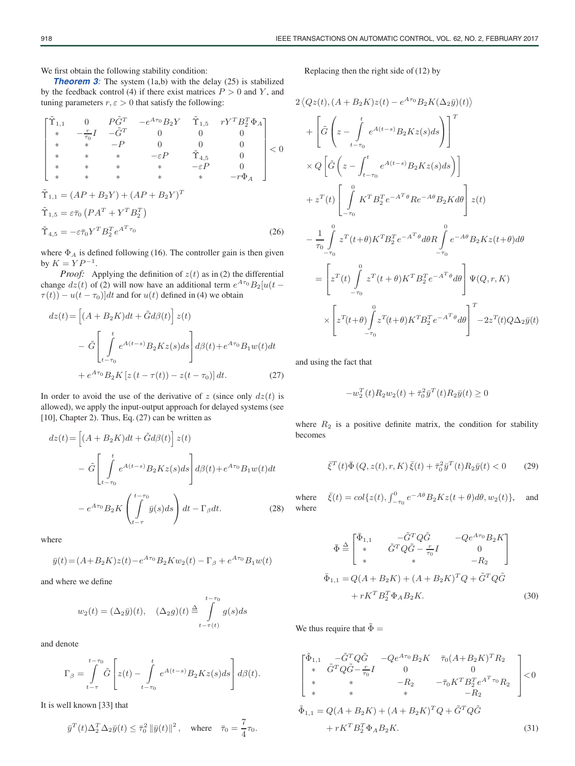We first obtain the following stability condition:

**Theorem 3**: The system (1a,b) with the delay (25) is stabilized by the feedback control (4) if there exist matrices  $P > 0$  and Y, and tuning parameters  $r, \varepsilon > 0$  that satisfy the following:

$$
\begin{bmatrix}\n\tilde{\Upsilon}_{1,1} & 0 & P\tilde{G}^T & -e^{A\tau_0}B_2Y & \tilde{\Upsilon}_{1,5} & rY^TB_2^T\Phi_A \\
* & -\frac{r}{\tau_0}I & -\tilde{G}^T & 0 & 0 & 0 \\
* & * & -P & 0 & 0 & 0 \\
* & * & * & -\varepsilon P & \tilde{\Upsilon}_{4,5} & 0 \\
* & * & * & * & -\varepsilon P & 0 \\
* & * & * & * & * & -r\Phi_A\n\end{bmatrix} < 0
$$
\n
$$
\tilde{\Upsilon}_{1,1} = (AP + B_2Y) + (AP + B_2Y)^T
$$
\n
$$
\tilde{\Upsilon}_{1,5} = \varepsilon \bar{\tau}_0 (PA^T + Y^TB_2^T)
$$
\n
$$
\tilde{\Upsilon}_{4,5} = -\varepsilon \bar{\tau}_0 Y^TB_2^T e^{A^T\tau_0}
$$
\n(26)

where  $\Phi_A$  is defined following (16). The controller gain is then given by  $K = YP^{-1}$ .

*Proof:* Applying the definition of  $z(t)$  as in (2) the differential change  $dz(t)$  of (2) will now have an additional term  $e^{A\tau_0}B_2[u(t \tau(t)$ ) –  $u(t - \tau_0)$ ]dt and for  $u(t)$  defined in (4) we obtain

$$
dz(t) = \left[ (A + B_2 K)dt + \tilde{G}d\beta(t) \right] z(t)
$$

$$
- \tilde{G} \left[ \int_{t-\tau_0}^t e^{A(t-s)} B_2 K z(s) ds \right] d\beta(t) + e^{A\tau_0} B_1 w(t) dt
$$

$$
+ e^{A\tau_0} B_2 K \left[ z(t - \tau(t)) - z(t - \tau_0) \right] dt. \tag{27}
$$

In order to avoid the use of the derivative of z (since only  $dz(t)$  is allowed), we apply the input-output approach for delayed systems (see [10], Chapter 2). Thus, Eq. (27) can be written as

$$
dz(t) = \left[ (A + B_2 K)dt + \tilde{G}d\beta(t) \right] z(t)
$$

$$
- \tilde{G} \left[ \int_{t-\tau_0}^t e^{A(t-s)} B_2 K z(s) ds \right] d\beta(t) + e^{A\tau_0} B_1 w(t) dt
$$

$$
- e^{A\tau_0} B_2 K \left( \int_{t-\tau_0}^{t-\tau_0} \bar{y}(s) ds \right) dt - \Gamma_{\beta} dt. \tag{28}
$$

where

$$
\bar{y}(t) = (A + B_2 K)z(t) - e^{A\tau_0}B_2Kw_2(t) - \Gamma_\beta + e^{A\tau_0}B_1w(t)
$$

and where we define

$$
w_2(t) = (\Delta_2 \bar{y})(t), \quad (\Delta_2 g)(t) \stackrel{\Delta}{=} \int_{t-\tau(t)}^{t-\tau_0} g(s)ds
$$

and denote

$$
\Gamma_{\beta} = \int\limits_{t-\tau}^{t-\tau_0} \tilde{G} \left[ z(t) - \int\limits_{t-\tau_0}^{t} e^{A(t-s)} B_2 K z(s) ds \right] d\beta(t).
$$

It is well known [33] that

$$
\bar y^T(t)\Delta_2^T\Delta_2\bar y(t)\leq \bar\tau_0^2\left\|\bar y(t)\right\|^2,\quad\text{where}\quad \bar\tau_0=\frac{7}{4}\tau_0.
$$

Replacing then the right side of (12) by

$$
2\langle Qz(t), (A+B_2K)z(t) - e^{A\tau_0}B_2K(\Delta_2\bar{y})(t) \rangle
$$
  
+ 
$$
\left[ \tilde{G} \left( z - \int_{t-\tau_0}^t e^{A(t-s)} B_2Kz(s) ds \right) \right]^T
$$
  

$$
\times Q \left[ \tilde{G} \left( z - \int_{t-\tau_0}^t e^{A(t-s)} B_2Kz(s) ds \right) \right]
$$
  
+ 
$$
z^T(t) \left[ \int_{-\tau_0}^0 K^T B_2^T e^{-A^T\theta} R e^{-A\theta} B_2K d\theta \right] z(t)
$$
  
- 
$$
\frac{1}{\tau_0} \int_{-\tau_0}^0 z^T(t+\theta) K^T B_2^T e^{-A^T\theta} d\theta R \int_{-\tau_0}^0 e^{-A\theta} B_2Kz(t+\theta) d\theta
$$
  
= 
$$
\left[ z^T(t) \int_{-\tau_0}^0 z^T(t+\theta) K^T B_2^T e^{-A^T\theta} d\theta \right] \Psi(Q,r,K)
$$
  

$$
\times \left[ z^T(t+\theta) \int_{-\tau_0}^0 z^T(t+\theta) K^T B_2^T e^{-A^T\theta} d\theta \right]_{-\tau_0}^T
$$

and using the fact that

$$
-w_2^T(t)R_2w_2(t) + \bar{\tau}_0^2 \bar{y}^T(t)R_2\bar{y}(t) \ge 0
$$

where  $R_2$  is a positive definite matrix, the condition for stability becomes

$$
\bar{\xi}^{T}(t)\bar{\Phi}(Q, z(t), r, K)\bar{\xi}(t) + \bar{\tau}_{0}^{2}\bar{y}^{T}(t)R_{2}\bar{y}(t) < 0 \qquad (29)
$$

where  $\bar{\xi}(t) = \omega \{ z(t), \int_{-\tau_0}^0 e^{-A\theta} B_2 K z(t + \theta) d\theta, w_2(t) \},$  and where

$$
\bar{\Phi} \triangleq \begin{bmatrix}\n\bar{\Phi}_{1,1} & -\tilde{G}^T Q \tilde{G} & -Q e^{A\tau_0} B_2 K \\
\ast & \tilde{G}^T Q \tilde{G} - \frac{r}{\tau_0} I & 0 \\
\ast & \ast & -R_2\n\end{bmatrix}
$$
\n
$$
\bar{\Phi}_{1,1} = Q(A + B_2 K) + (A + B_2 K)^T Q + \tilde{G}^T Q \tilde{G}
$$
\n
$$
+ r K^T B_2^T \Phi_A B_2 K.
$$
\n(30)

We thus require that  $\tilde{\Phi} =$ 

$$
\begin{bmatrix}\n\tilde{\Phi}_{1,1} & -\tilde{G}^T Q \tilde{G} & -Q e^{A\tau_0} B_2 K & \bar{\tau}_0 (A + B_2 K)^T R_2 \\
\ast & \tilde{G}^T Q \tilde{G} - \frac{r}{\tau_0} I & 0 & 0 \\
\ast & \ast & -R_2 & -\bar{\tau}_0 K^T B_2^T e^{A^T \tau_0} R_2 \\
\ast & \ast & \ast & -R_2\n\end{bmatrix} < 0
$$
\n
$$
\tilde{\Phi}_{1,1} = Q(A + B_2 K) + (A + B_2 K)^T Q + \tilde{G}^T Q \tilde{G}
$$
\n
$$
+ r K^T B_2^T \Phi_A B_2 K.
$$
\n(31)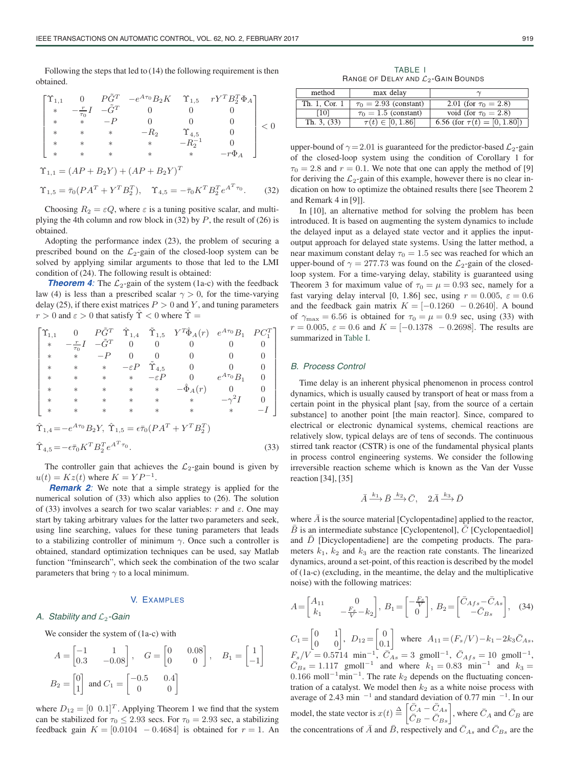Following the steps that led to (14) the following requirement is then obtained.

$$
\begin{bmatrix} \Upsilon_{1,1} & 0 & P\tilde{G}^T & -e^{A\tau_0}B_2K & \Upsilon_{1,5} & rY^TB_2^T\Phi_A \\ * & -\frac{r}{\tau_0}I & -\tilde{G}^T & 0 & 0 & 0 \\ * & * & -P & 0 & 0 & 0 \\ * & * & * & -R_2 & \Upsilon_{4,5} & 0 \\ * & * & * & * & -R_2^{-1} & 0 \\ * & * & * & * & * & -r\Phi_A \end{bmatrix} < 0
$$

$$
\begin{aligned} \Upsilon_{1,1} &= (AP + B_2Y) + (AP + B_2Y)^T \\ \Upsilon_{1,5} &= \bar{\tau}_0 (PA^T + Y^T B_2^T), \quad \Upsilon_{4,5} = -\bar{\tau}_0 K^T B_2^T e^{A^T \tau_0} . \end{aligned} \tag{32}
$$

Choosing  $R_2 = \varepsilon Q$ , where  $\varepsilon$  is a tuning positive scalar, and multiplying the 4th column and row block in (32) by  $P$ , the result of (26) is obtained.

Adopting the performance index (23), the problem of securing a prescribed bound on the  $\mathcal{L}_2$ -gain of the closed-loop system can be solved by applying similar arguments to those that led to the LMI condition of (24). The following result is obtained:

**Theorem 4:** The  $\mathcal{L}_2$ -gain of the system (1a-c) with the feedback law (4) is less than a prescribed scalar  $\gamma > 0$ , for the time-varying delay (25), if there exist matrices  $P > 0$  and Y, and tuning parameters  $r > 0$  and  $\varepsilon > 0$  that satisfy  $\hat{\Upsilon} < 0$  where  $\hat{\Upsilon} = \frac{1}{\varepsilon}$ 

$$
\left[ \begin{matrix} \Upsilon_{1,1} & 0 & P\tilde{G}^T & \hat{\Upsilon}_{1,4} & \tilde{\Upsilon}_{1,5} & Y^T\hat{\Phi}_A(r) & e^{A\tau_0}B_1 & PC_1^T \\ * & -\frac{r}{\tau_0}I & -\tilde{G}^T & 0 & 0 & 0 & 0 & 0 \\ * & * & -P & 0 & 0 & 0 & 0 & 0 \\ * & * & * & -\varepsilon P & \tilde{\Upsilon}_{4,5} & 0 & 0 & 0 \\ * & * & * & * & -\varepsilon P & 0 & e^{A\tau_0}B_1 & 0 \\ * & * & * & * & * & -\hat{\Phi}_A(r) & 0 & 0 \\ * & * & * & * & * & * & -\gamma^2 I & 0 \\ * & * & * & * & * & * & * & -I \end{matrix} \right]
$$

$$
\hat{\Upsilon}_{1,4} = -e^{A\tau_0} B_2 Y, \ \hat{\Upsilon}_{1,5} = \epsilon \bar{\tau}_0 (P A^T + Y^T B_2^T)
$$
  
\n
$$
\hat{\Upsilon}_{4,5} = -\epsilon \bar{\tau}_0 K^T B_2^T e^{A^T \tau_0}.
$$
\n(33)

The controller gain that achieves the  $\mathcal{L}_2$ -gain bound is given by  $u(t) = Kz(t)$  where  $K = YP^{-1}$ .

*Remark 2*: We note that a simple strategy is applied for the numerical solution of (33) which also applies to (26). The solution of (33) involves a search for two scalar variables: r and  $\varepsilon$ . One may start by taking arbitrary values for the latter two parameters and seek, using line searching, values for these tuning parameters that leads to a stabilizing controller of minimum  $\gamma$ . Once such a controller is obtained, standard optimization techniques can be used, say Matlab function "fminsearch", which seek the combination of the two scalar parameters that bring  $\gamma$  to a local minimum.

### V. EXAMPLES

#### A. Stability and  $\mathcal{L}_2$ -Gain

We consider the system of (1a-c) with

$$
A = \begin{bmatrix} -1 & 1 \\ 0.3 & -0.08 \end{bmatrix}, \quad G = \begin{bmatrix} 0 & 0.08 \\ 0 & 0 \end{bmatrix}, \quad B_1 = \begin{bmatrix} 1 \\ -1 \end{bmatrix}
$$
  

$$
B_2 = \begin{bmatrix} 0 \\ 1 \end{bmatrix} \text{ and } C_1 = \begin{bmatrix} -0.5 & 0.4 \\ 0 & 0 \end{bmatrix}
$$

where  $D_{12} = \begin{bmatrix} 0 & 0.1 \end{bmatrix}^T$ . Applying Theorem 1 we find that the system can be stabilized for  $\tau_0 \leq 2.93$  secs. For  $\tau_0 = 2.93$  sec, a stabilizing feedback gain  $K = [0.0104 - 0.4684]$  is obtained for  $r = 1$ . An

TABLE I RANGE OF DELAY AND  $\mathcal{L}_2$ -GAIN BOUNDS

| method        | max delay                  |                                   |
|---------------|----------------------------|-----------------------------------|
| Th. 1. Cor. 1 | $\tau_0 = 2.93$ (constant) | 2.01 (for $\tau_0 = 2.8$ )        |
| [10]          | $\tau_0 = 1.5$ (constant)  | void (for $\tau_0 = 2.8$ )        |
| Th. 3, (33)   | $\tau(t) \in [0, 1.86]$    | 6.56 (for $\tau(t) = [0, 1.80]$ ) |

upper-bound of  $\gamma = 2.01$  is guaranteed for the predictor-based  $\mathcal{L}_2$ -gain of the closed-loop system using the condition of Corollary 1 for  $\tau_0 = 2.8$  and  $r = 0.1$ . We note that one can apply the method of [9] for deriving the  $\mathcal{L}_2$ -gain of this example, however there is no clear indication on how to optimize the obtained results there [see Theorem 2 and Remark 4 in [9]].

In [10], an alternative method for solving the problem has been introduced. It is based on augmenting the system dynamics to include the delayed input as a delayed state vector and it applies the inputoutput approach for delayed state systems. Using the latter method, a near maximum constant delay  $\tau_0 = 1.5$  sec was reached for which an upper-bound of  $\gamma = 277.73$  was found on the  $\mathcal{L}_2$ -gain of the closedloop system. For a time-varying delay, stability is guaranteed using Theorem 3 for maximum value of  $\tau_0 = \mu = 0.93$  sec, namely for a fast varying delay interval [0, 1.86] sec, using  $r = 0.005$ ,  $\varepsilon = 0.6$ and the feedback gain matrix  $K = [-0.1260 - 0.2640]$ . A bound of  $\gamma_{\text{max}} = 6.56$  is obtained for  $\tau_0 = \mu = 0.9$  sec, using (33) with  $r = 0.005$ ,  $\varepsilon = 0.6$  and  $K = [-0.1378 - 0.2698]$ . The results are summarized in Table I.

## B. Process Control

Time delay is an inherent physical phenomenon in process control dynamics, which is usually caused by transport of heat or mass from a certain point in the physical plant [say, from the source of a certain substance] to another point [the main reactor]. Since, compared to electrical or electronic dynamical systems, chemical reactions are relatively slow, typical delays are of tens of seconds. The continuous stirred tank reactor (CSTR) is one of the fundamental physical plants in process control engineering systems. We consider the following irreversible reaction scheme which is known as the Van der Vusse reaction [34], [35]

$$
\bar{A} \xrightarrow{k_1} \bar{B} \xrightarrow{k_2} \bar{C}, \quad 2\bar{A} \xrightarrow{k_3} \bar{D}
$$

where  $\overline{A}$  is the source material [Cyclopentadine] applied to the reactor,  $B$  is an intermediate substance [Cyclopentenol],  $C$  [Cyclopentaediol] and  $\overline{D}$  [Dicyclopentadiene] are the competing products. The parameters  $k_1$ ,  $k_2$  and  $k_3$  are the reaction rate constants. The linearized dynamics, around a set-point, of this reaction is described by the model of (1a-c) (excluding, in the meantime, the delay and the multiplicative noise) with the following matrices:

$$
A = \begin{bmatrix} A_{11} & 0 \\ k_1 & -\frac{F_s}{V} - k_2 \end{bmatrix}, \ B_1 = \begin{bmatrix} -\frac{F_s}{V} \\ 0 \end{bmatrix}, \ B_2 = \begin{bmatrix} \bar{C}_{Afs} - \bar{C}_{As} \\ -\bar{C}_{Bs} \end{bmatrix}, \tag{34}
$$

 $C_1 = \begin{bmatrix} 0 & 1 \\ 0 & 0 \end{bmatrix}, D_{12} = \begin{bmatrix} 0 \\ 0 \end{bmatrix}$ 0.1 where  $A_{11} = (F_s/V) - k_1 - 2k_3 \bar{C}_{As}$ ,  $F_s/V = 0.5714 \text{ min}^{-1}$ ,  $\bar{C}_{As} = 3 \text{ gmol}^{-1}$ ,  $\bar{C}_{Afs} = 10 \text{ gmol}^{-1}$ ,  $\overline{C}_{Bs} = 1.117 \text{ gmol}^{-1}$  and where  $k_1 = 0.83 \text{ min}^{-1}$  and  $k_3 =$ 0.166 moll<sup>-1</sup>min<sup>-1</sup>. The rate  $k_2$  depends on the fluctuating concentration of a catalyst. We model then  $k_2$  as a white noise process with average of 2.43 min  $^{-1}$  and standard deviation of 0.77 min  $^{-1}$ . In our model, the state vector is  $x(t) \triangleq \begin{bmatrix} \bar{C}_A - \bar{C}_{As} \\ \bar{C}_B - \bar{C}_{Bs} \end{bmatrix}$ , where  $\bar{C}_A$  and  $\bar{C}_B$  are the concentrations of  $\bar{A}$  and  $\bar{B}$ , respectively and  $\bar{C}_{As}$  and  $\bar{C}_{Bs}$  are the